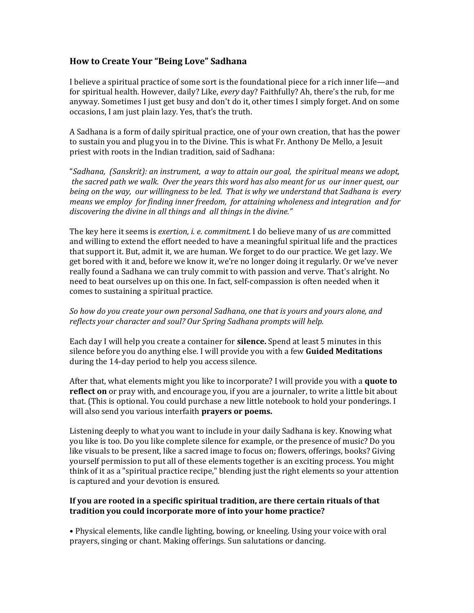## **How to Create Your "Being Love" Sadhana**

I believe a spiritual practice of some sort is the foundational piece for a rich inner life—and for spiritual health. However, daily? Like, *every* day? Faithfully? Ah, there's the rub, for me anyway. Sometimes I just get busy and don't do it, other times I simply forget. And on some occasions, I am just plain lazy. Yes, that's the truth.

A Sadhana is a form of daily spiritual practice, one of your own creation, that has the power to sustain you and plug you in to the Divine. This is what Fr. Anthony De Mello, a Jesuit priest with roots in the Indian tradition, said of Sadhana:

"Sadhana, (Sanskrit): an instrument, a way to attain our goal, the spiritual means we adopt, *the sacred path we walk. Over the years this word has also meant for us our inner quest, our being* on the way, our willingness to be led. That is why we understand that Sadhana is every *means* we employ for finding inner freedom, for attaining wholeness and integration and for discovering the divine in all things and all things in the divine."

The key here it seems is *exertion, i. e. commitment.* I do believe many of us *are* committed and willing to extend the effort needed to have a meaningful spiritual life and the practices that support it. But, admit it, we are human. We forget to do our practice. We get lazy. We get bored with it and, before we know it, we're no longer doing it regularly. Or we've never really found a Sadhana we can truly commit to with passion and verve. That's alright. No need to beat ourselves up on this one. In fact, self-compassion is often needed when it comes to sustaining a spiritual practice.

## So how do you create your own personal Sadhana, one that is yours and yours alone, and reflects your character and soul? Our Spring Sadhana prompts will help.

Each day I will help you create a container for **silence**. Spend at least 5 minutes in this silence before you do anything else. I will provide you with a few **Guided Meditations** during the 14-day period to help you access silence.

After that, what elements might you like to incorporate? I will provide you with a **quote to** reflect on or pray with, and encourage you, if you are a journaler, to write a little bit about that. (This is optional. You could purchase a new little notebook to hold your ponderings. I will also send you various interfaith **prayers or poems.** 

Listening deeply to what you want to include in your daily Sadhana is key. Knowing what you like is too. Do you like complete silence for example, or the presence of music? Do you like visuals to be present, like a sacred image to focus on; flowers, offerings, books? Giving yourself permission to put all of these elements together is an exciting process. You might think of it as a "spiritual practice recipe," blending just the right elements so your attention is captured and your devotion is ensured.

## If you are rooted in a specific spiritual tradition, are there certain rituals of that tradition you could incorporate more of into your home practice?

• Physical elements, like candle lighting, bowing, or kneeling. Using your voice with oral prayers, singing or chant. Making offerings. Sun salutations or dancing.